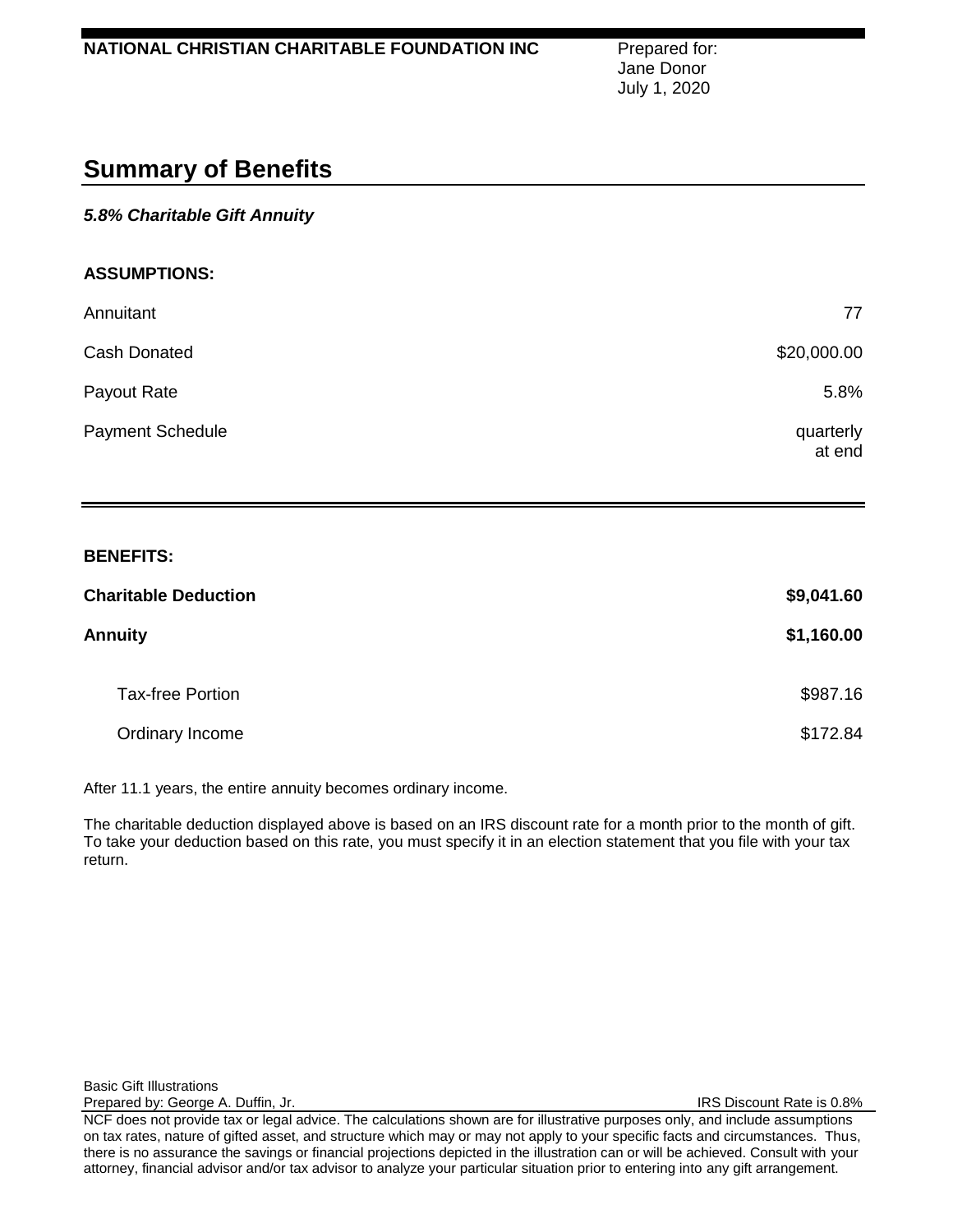Jane Donor July 1, 2020

# **Summary of Benefits**

# *5.8% Charitable Gift Annuity*

### **ASSUMPTIONS:**

| Annuitant               | 77                  |
|-------------------------|---------------------|
| Cash Donated            | \$20,000.00         |
| Payout Rate             | 5.8%                |
| <b>Payment Schedule</b> | quarterly<br>at end |

#### **BENEFITS:**

| <b>Charitable Deduction</b> | \$9,041.60 |
|-----------------------------|------------|
| <b>Annuity</b>              | \$1,160.00 |
| <b>Tax-free Portion</b>     | \$987.16   |
| Ordinary Income             | \$172.84   |

After 11.1 years, the entire annuity becomes ordinary income.

The charitable deduction displayed above is based on an IRS discount rate for a month prior to the month of gift. To take your deduction based on this rate, you must specify it in an election statement that you file with your tax return.

Basic Gift Illustrations

Prepared by: George A. Duffin, Jr. **IRS Discount Rate is 0.8%** 

NCF does not provide tax or legal advice. The calculations shown are for illustrative purposes only, and include assumptions on tax rates, nature of gifted asset, and structure which may or may not apply to your specific facts and circumstances. Thus, there is no assurance the savings or financial projections depicted in the illustration can or will be achieved. Consult with your attorney, financial advisor and/or tax advisor to analyze your particular situation prior to entering into any gift arrangement.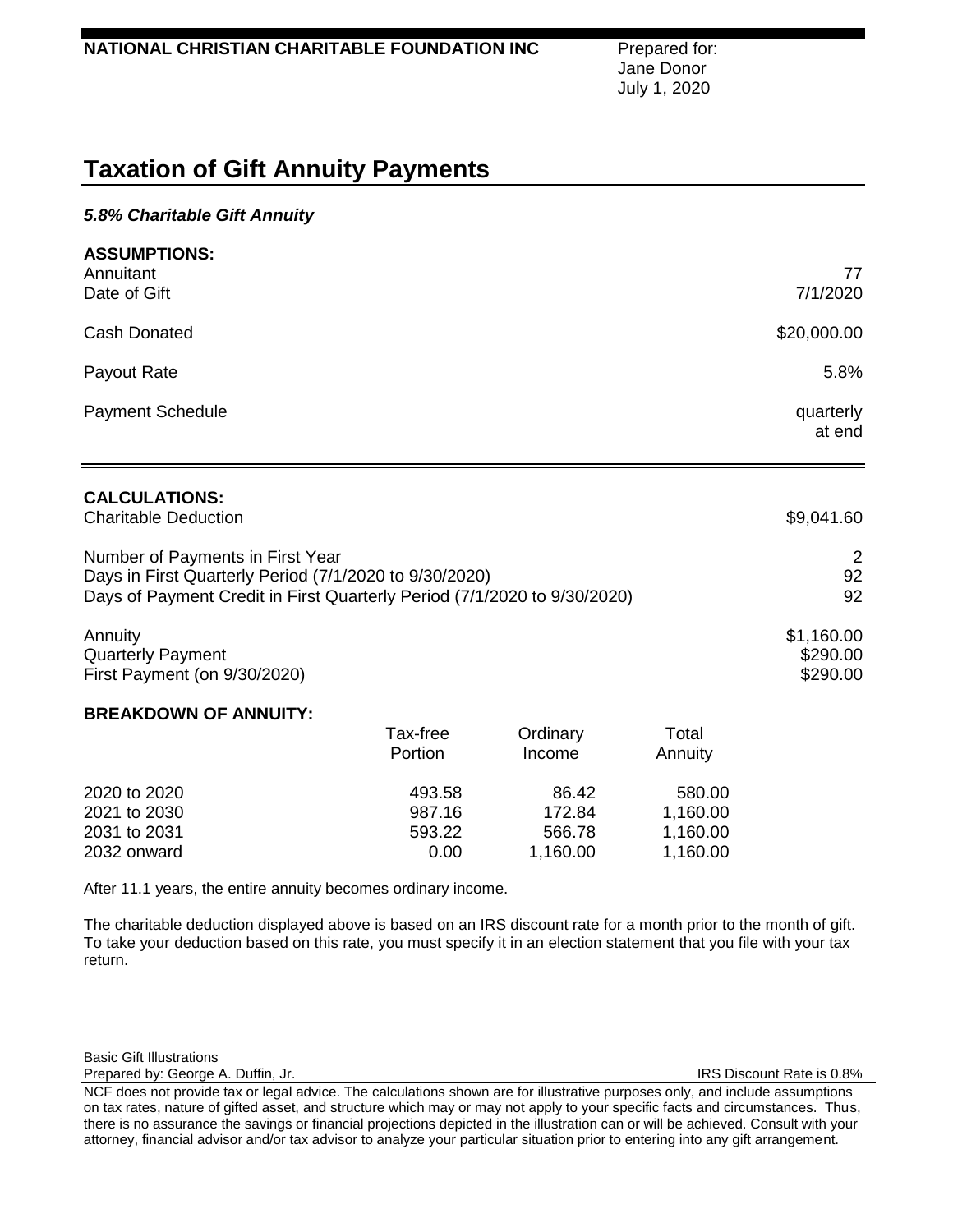Jane Donor July 1, 2020

# **Taxation of Gift Annuity Payments**

## *5.8% Charitable Gift Annuity*

| <b>ASSUMPTIONS:</b>     |             |
|-------------------------|-------------|
| Annuitant               | 77          |
| Date of Gift            | 7/1/2020    |
| Cash Donated            | \$20,000.00 |
| Payout Rate             | 5.8%        |
| <b>Payment Schedule</b> | quarterly   |
|                         | at end      |
|                         |             |

# **CALCULATIONS:**

| <b>Charitable Deduction</b>                                              | \$9,041.60 |
|--------------------------------------------------------------------------|------------|
| Number of Payments in First Year                                         | 2          |
| Days in First Quarterly Period (7/1/2020 to 9/30/2020)                   | 92         |
| Days of Payment Credit in First Quarterly Period (7/1/2020 to 9/30/2020) | 92         |
| Annuity                                                                  | \$1,160.00 |
| <b>Quarterly Payment</b>                                                 | \$290.00   |

First Payment (on 9/30/2020) \$290.00

#### **BREAKDOWN OF ANNUITY:**

| Tax-free<br>Portion | Ordinary<br>Income | Total<br>Annuity |
|---------------------|--------------------|------------------|
|                     |                    |                  |
| 987.16              | 172.84             | 1,160.00         |
| 593.22              | 566.78             | 1,160.00         |
| 0.00                | 1,160.00           | 1,160.00         |
|                     |                    |                  |

After 11.1 years, the entire annuity becomes ordinary income.

The charitable deduction displayed above is based on an IRS discount rate for a month prior to the month of gift. To take your deduction based on this rate, you must specify it in an election statement that you file with your tax return.

Basic Gift Illustrations

Prepared by: George A. Duffin, Jr. Inc. Inc. Inc. Inc. Inc. Inc. IRS Discount Rate is 0.8%

NCF does not provide tax or legal advice. The calculations shown are for illustrative purposes only, and include assumptions on tax rates, nature of gifted asset, and structure which may or may not apply to your specific facts and circumstances. Thus, there is no assurance the savings or financial projections depicted in the illustration can or will be achieved. Consult with your attorney, financial advisor and/or tax advisor to analyze your particular situation prior to entering into any gift arrangement.